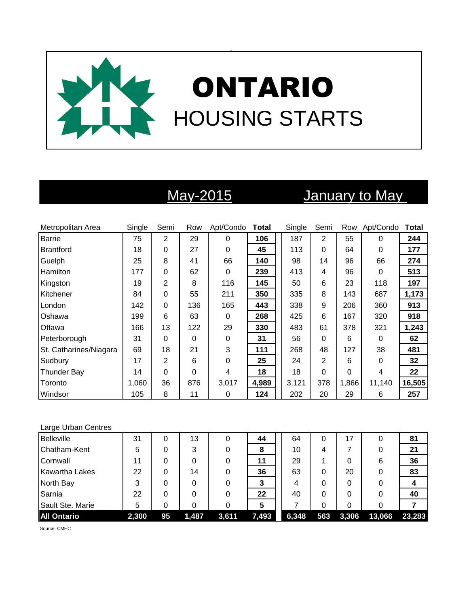

# May-2015 January to May

| Metropolitan Area      | Single | Semi           | Row | Apt/Condo | <b>Total</b> | Single | Semi     | Row   | Apt/Condo | Total  |
|------------------------|--------|----------------|-----|-----------|--------------|--------|----------|-------|-----------|--------|
| Barrie                 | 75     | 2              | 29  | 0         | 106          | 187    | 2        | 55    | 0         | 244    |
| Brantford              | 18     | 0              | 27  | 0         | 45           | 113    | $\Omega$ | 64    | $\Omega$  | 177    |
| Guelph                 | 25     | 8              | 41  | 66        | 140          | 98     | 14       | 96    | 66        | 274    |
| <b>Hamilton</b>        | 177    | 0              | 62  | 0         | 239          | 413    | 4        | 96    | $\Omega$  | 513    |
| Kingston               | 19     | $\overline{2}$ | 8   | 116       | 145          | 50     | 6        | 23    | 118       | 197    |
| Kitchener              | 84     | 0              | 55  | 211       | 350          | 335    | 8        | 143   | 687       | 1,173  |
| London                 | 142    | 0              | 136 | 165       | 443          | 338    | 9        | 206   | 360       | 913    |
| Oshawa                 | 199    | 6              | 63  | 0         | 268          | 425    | 6        | 167   | 320       | 918    |
| Ottawa                 | 166    | 13             | 122 | 29        | 330          | 483    | 61       | 378   | 321       | 1,243  |
| Peterborough           | 31     | 0              | 0   | 0         | 31           | 56     | $\Omega$ | 6     | 0         | 62     |
| St. Catharines/Niagara | 69     | 18             | 21  | 3         | 111          | 268    | 48       | 127   | 38        | 481    |
| Sudbury                | 17     | 2              | 6   | 0         | 25           | 24     | 2        | 6     | $\Omega$  | 32     |
| <b>Thunder Bay</b>     | 14     | $\overline{0}$ | 0   | 4         | 18           | 18     | 0        | 0     | 4         | 22     |
| Toronto                | 1,060  | 36             | 876 | 3,017     | 4,989        | 3,121  | 378      | 1,866 | 11,140    | 16,505 |
| Windsor                | 105    | 8              | 11  | 0         | 124          | 202    | 20       | 29    | 6         | 257    |

### Large Urban Centres

| <b>Belleville</b>     | 31    |    | 13    | 0     | 44    | 64    | 0   | 17    | 0      | 81     |
|-----------------------|-------|----|-------|-------|-------|-------|-----|-------|--------|--------|
| Chatham-Kent          | 5     |    | 3     |       | 8     | 10    | 4   |       | 0      | 21     |
| Cornwall              | 11    |    | 0     |       | 11    | 29    |     | 0     | 6      | 36     |
| <b>Kawartha Lakes</b> | 22    | 0  | 14    |       | 36    | 63    | 0   | 20    | 0      | 83     |
| North Bay             | 3     | 0  | 0     |       |       | 4     | 0   | 0     | 0      |        |
| Sarnia                | 22    | 0  | 0     |       | 22    | 40    | 0   | 0     | 0      | 40     |
| Sault Ste. Marie      | 5     |    |       |       | 5     |       | 0   | 0     | 0      |        |
| <b>All Ontario</b>    | 2,300 | 95 | 1,487 | 3,611 | 7,493 | 6,348 | 563 | 3,306 | 13,066 | 23,283 |

Source: CMHC